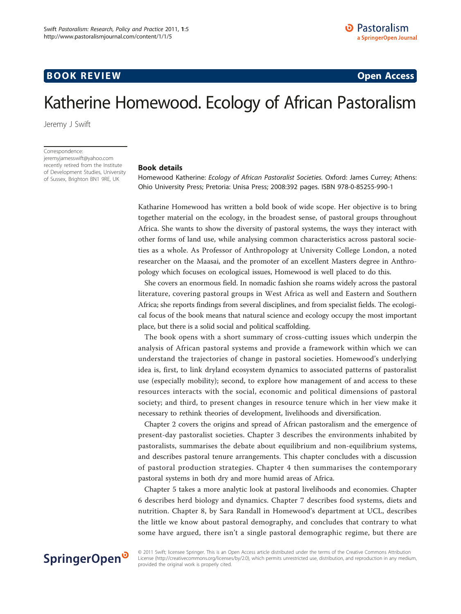## **BOOK REVIEW CONTROL** CONTROL CONTROL CONTROL CONTROL CONTROL CONTROL CONTROL CONTROL CONTROL CONTROL CONTROL CONTROL CONTROL CONTROL CONTROL CONTROL CONTROL CONTROL CONTROL CONTROL CONTROL CONTROL CONTROL CONTROL CONTROL

# Katherine Homewood. Ecology of African Pastoralism

Jeremy J Swift

Correspondence: [jeremyjamesswift@yahoo.com](mailto:jeremyjamesswift@yahoo.com)

recently retired from the Institute of Development Studies, University of Sussex, Brighton BN1 9RE, UK

## Book details

Homewood Katherine: Ecology of African Pastoralist Societies. Oxford: James Currey; Athens: Ohio University Press; Pretoria: Unisa Press; 2008:392 pages. ISBN 978-0-85255-990-1

Katharine Homewood has written a bold book of wide scope. Her objective is to bring together material on the ecology, in the broadest sense, of pastoral groups throughout Africa. She wants to show the diversity of pastoral systems, the ways they interact with other forms of land use, while analysing common characteristics across pastoral societies as a whole. As Professor of Anthropology at University College London, a noted researcher on the Maasai, and the promoter of an excellent Masters degree in Anthropology which focuses on ecological issues, Homewood is well placed to do this.

She covers an enormous field. In nomadic fashion she roams widely across the pastoral literature, covering pastoral groups in West Africa as well and Eastern and Southern Africa; she reports findings from several disciplines, and from specialist fields. The ecological focus of the book means that natural science and ecology occupy the most important place, but there is a solid social and political scaffolding.

The book opens with a short summary of cross-cutting issues which underpin the analysis of African pastoral systems and provide a framework within which we can understand the trajectories of change in pastoral societies. Homewood's underlying idea is, first, to link dryland ecosystem dynamics to associated patterns of pastoralist use (especially mobility); second, to explore how management of and access to these resources interacts with the social, economic and political dimensions of pastoral society; and third, to present changes in resource tenure which in her view make it necessary to rethink theories of development, livelihoods and diversification.

Chapter 2 covers the origins and spread of African pastoralism and the emergence of present-day pastoralist societies. Chapter 3 describes the environments inhabited by pastoralists, summarises the debate about equilibrium and non-equilibrium systems, and describes pastoral tenure arrangements. This chapter concludes with a discussion of pastoral production strategies. Chapter 4 then summarises the contemporary pastoral systems in both dry and more humid areas of Africa.

Chapter 5 takes a more analytic look at pastoral livelihoods and economies. Chapter 6 describes herd biology and dynamics. Chapter 7 describes food systems, diets and nutrition. Chapter 8, by Sara Randall in Homewood's department at UCL, describes the little we know about pastoral demography, and concludes that contrary to what some have argued, there isn't a single pastoral demographic regime, but there are

## SpringerOpen<sup>®</sup>

© 2011 Swift; licensee Springer. This is an Open Access article distributed under the terms of the Creative Commons Attribution License [\(http://creativecommons.org/licenses/by/2.0](http://creativecommons.org/licenses/by/2.0)), which permits unrestricted use, distribution, and reproduction in any medium, provided the original work is properly cited.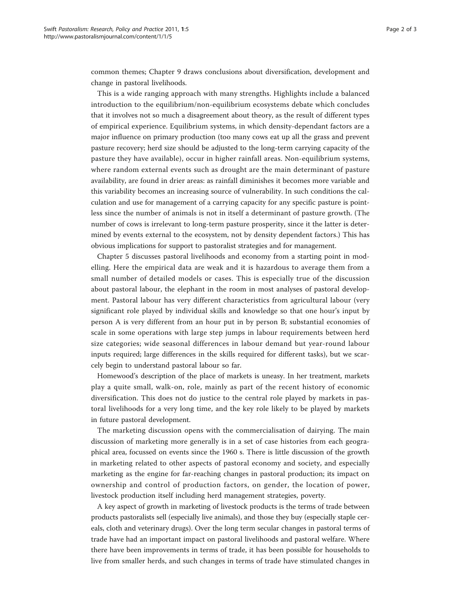common themes; Chapter 9 draws conclusions about diversification, development and change in pastoral livelihoods.

This is a wide ranging approach with many strengths. Highlights include a balanced introduction to the equilibrium/non-equilibrium ecosystems debate which concludes that it involves not so much a disagreement about theory, as the result of different types of empirical experience. Equilibrium systems, in which density-dependant factors are a major influence on primary production (too many cows eat up all the grass and prevent pasture recovery; herd size should be adjusted to the long-term carrying capacity of the pasture they have available), occur in higher rainfall areas. Non-equilibrium systems, where random external events such as drought are the main determinant of pasture availability, are found in drier areas: as rainfall diminishes it becomes more variable and this variability becomes an increasing source of vulnerability. In such conditions the calculation and use for management of a carrying capacity for any specific pasture is pointless since the number of animals is not in itself a determinant of pasture growth. (The number of cows is irrelevant to long-term pasture prosperity, since it the latter is determined by events external to the ecosystem, not by density dependent factors.) This has obvious implications for support to pastoralist strategies and for management.

Chapter 5 discusses pastoral livelihoods and economy from a starting point in modelling. Here the empirical data are weak and it is hazardous to average them from a small number of detailed models or cases. This is especially true of the discussion about pastoral labour, the elephant in the room in most analyses of pastoral development. Pastoral labour has very different characteristics from agricultural labour (very significant role played by individual skills and knowledge so that one hour's input by person A is very different from an hour put in by person B; substantial economies of scale in some operations with large step jumps in labour requirements between herd size categories; wide seasonal differences in labour demand but year-round labour inputs required; large differences in the skills required for different tasks), but we scarcely begin to understand pastoral labour so far.

Homewood's description of the place of markets is uneasy. In her treatment, markets play a quite small, walk-on, role, mainly as part of the recent history of economic diversification. This does not do justice to the central role played by markets in pastoral livelihoods for a very long time, and the key role likely to be played by markets in future pastoral development.

The marketing discussion opens with the commercialisation of dairying. The main discussion of marketing more generally is in a set of case histories from each geographical area, focussed on events since the 1960 s. There is little discussion of the growth in marketing related to other aspects of pastoral economy and society, and especially marketing as the engine for far-reaching changes in pastoral production; its impact on ownership and control of production factors, on gender, the location of power, livestock production itself including herd management strategies, poverty.

A key aspect of growth in marketing of livestock products is the terms of trade between products pastoralists sell (especially live animals), and those they buy (especially staple cereals, cloth and veterinary drugs). Over the long term secular changes in pastoral terms of trade have had an important impact on pastoral livelihoods and pastoral welfare. Where there have been improvements in terms of trade, it has been possible for households to live from smaller herds, and such changes in terms of trade have stimulated changes in